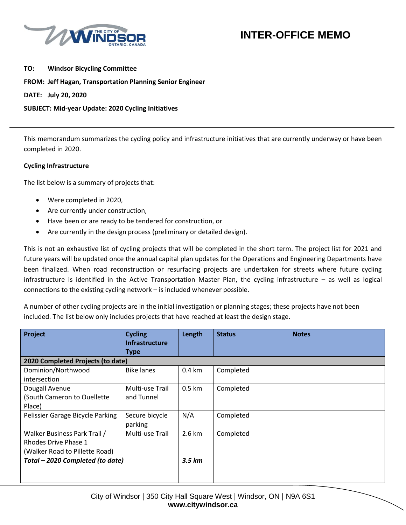

**TO: Windsor Bicycling Committee FROM: Jeff Hagan, Transportation Planning Senior Engineer DATE: July 20, 2020 SUBJECT: Mid-year Update: 2020 Cycling Initiatives**

This memorandum summarizes the cycling policy and infrastructure initiatives that are currently underway or have been completed in 2020.

### **Cycling Infrastructure**

The list below is a summary of projects that:

- Were completed in 2020,
- Are currently under construction,
- Have been or are ready to be tendered for construction, or
- Are currently in the design process (preliminary or detailed design).

This is not an exhaustive list of cycling projects that will be completed in the short term. The project list for 2021 and future years will be updated once the annual capital plan updates for the Operations and Engineering Departments have been finalized. When road reconstruction or resurfacing projects are undertaken for streets where future cycling infrastructure is identified in the Active Transportation Master Plan, the cycling infrastructure – as well as logical connections to the existing cycling network – is included whenever possible.

A number of other cycling projects are in the initial investigation or planning stages; these projects have not been included. The list below only includes projects that have reached at least the design stage.

| Project                                                                                | <b>Cycling</b><br><b>Infrastructure</b><br><b>Type</b> | Length           | <b>Status</b> | <b>Notes</b> |
|----------------------------------------------------------------------------------------|--------------------------------------------------------|------------------|---------------|--------------|
| 2020 Completed Projects (to date)                                                      |                                                        |                  |               |              |
| Dominion/Northwood<br>intersection                                                     | <b>Bike lanes</b>                                      | $0.4 \text{ km}$ | Completed     |              |
| Dougall Avenue<br>(South Cameron to Ouellette<br>Place)                                | Multi-use Trail<br>and Tunnel                          | $0.5 \text{ km}$ | Completed     |              |
| Pelissier Garage Bicycle Parking                                                       | Secure bicycle<br>parking                              | N/A              | Completed     |              |
| Walker Business Park Trail /<br>Rhodes Drive Phase 1<br>(Walker Road to Pillette Road) | Multi-use Trail                                        | $2.6 \text{ km}$ | Completed     |              |
| Total - 2020 Completed (to date)                                                       |                                                        | $3.5 \ km$       |               |              |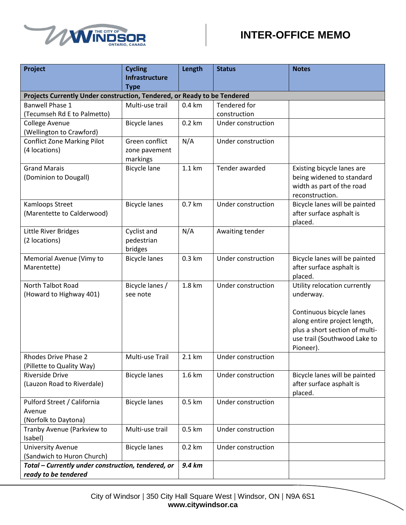



| Project                                                                  | <b>Cycling</b>        | Length            | <b>Status</b>      | <b>Notes</b>                                              |
|--------------------------------------------------------------------------|-----------------------|-------------------|--------------------|-----------------------------------------------------------|
|                                                                          | <b>Infrastructure</b> |                   |                    |                                                           |
|                                                                          | <b>Type</b>           |                   |                    |                                                           |
| Projects Currently Under construction, Tendered, or Ready to be Tendered |                       |                   |                    |                                                           |
| <b>Banwell Phase 1</b>                                                   | Multi-use trail       | $0.4 \mathrm{km}$ | Tendered for       |                                                           |
| (Tecumseh Rd E to Palmetto)                                              |                       |                   | construction       |                                                           |
| <b>College Avenue</b>                                                    | <b>Bicycle lanes</b>  | $0.2 \text{ km}$  | Under construction |                                                           |
| (Wellington to Crawford)<br><b>Conflict Zone Marking Pilot</b>           | Green conflict        | N/A               | Under construction |                                                           |
| (4 locations)                                                            | zone pavement         |                   |                    |                                                           |
|                                                                          | markings              |                   |                    |                                                           |
| <b>Grand Marais</b>                                                      | <b>Bicycle lane</b>   | 1.1 km            | Tender awarded     | Existing bicycle lanes are                                |
| (Dominion to Dougall)                                                    |                       |                   |                    | being widened to standard                                 |
|                                                                          |                       |                   |                    | width as part of the road                                 |
|                                                                          |                       |                   |                    | reconstruction.                                           |
| Kamloops Street                                                          | <b>Bicycle lanes</b>  | 0.7 km            | Under construction | Bicycle lanes will be painted                             |
| (Marentette to Calderwood)                                               |                       |                   |                    | after surface asphalt is                                  |
|                                                                          |                       |                   |                    | placed.                                                   |
| Little River Bridges                                                     | Cyclist and           | N/A               | Awaiting tender    |                                                           |
| (2 locations)                                                            | pedestrian            |                   |                    |                                                           |
|                                                                          | bridges               |                   |                    |                                                           |
| Memorial Avenue (Vimy to                                                 | <b>Bicycle lanes</b>  | 0.3 km            | Under construction | Bicycle lanes will be painted                             |
| Marentette)                                                              |                       |                   |                    | after surface asphalt is<br>placed.                       |
| North Talbot Road                                                        | Bicycle lanes /       | 1.8 km            | Under construction | Utility relocation currently                              |
| (Howard to Highway 401)                                                  | see note              |                   |                    | underway.                                                 |
|                                                                          |                       |                   |                    |                                                           |
|                                                                          |                       |                   |                    | Continuous bicycle lanes                                  |
|                                                                          |                       |                   |                    | along entire project length,                              |
|                                                                          |                       |                   |                    | plus a short section of multi-                            |
|                                                                          |                       |                   |                    | use trail (Southwood Lake to                              |
|                                                                          |                       |                   |                    | Pioneer).                                                 |
| Rhodes Drive Phase 2                                                     | Multi-use Trail       | 2.1 km            | Under construction |                                                           |
| (Pillette to Quality Way)                                                |                       |                   |                    |                                                           |
| <b>Riverside Drive</b><br>(Lauzon Road to Riverdale)                     | <b>Bicycle lanes</b>  | 1.6 km            | Under construction | Bicycle lanes will be painted<br>after surface asphalt is |
|                                                                          |                       |                   |                    | placed.                                                   |
| Pulford Street / California                                              | <b>Bicycle lanes</b>  | 0.5 km            | Under construction |                                                           |
| Avenue                                                                   |                       |                   |                    |                                                           |
| (Norfolk to Daytona)                                                     |                       |                   |                    |                                                           |
| Tranby Avenue (Parkview to                                               | Multi-use trail       | 0.5 km            | Under construction |                                                           |
| Isabel)                                                                  |                       |                   |                    |                                                           |
| <b>University Avenue</b>                                                 | <b>Bicycle lanes</b>  | $0.2 \text{ km}$  | Under construction |                                                           |
| (Sandwich to Huron Church)                                               |                       |                   |                    |                                                           |
| Total - Currently under construction, tendered, or                       |                       | 9.4 km            |                    |                                                           |
| ready to be tendered                                                     |                       |                   |                    |                                                           |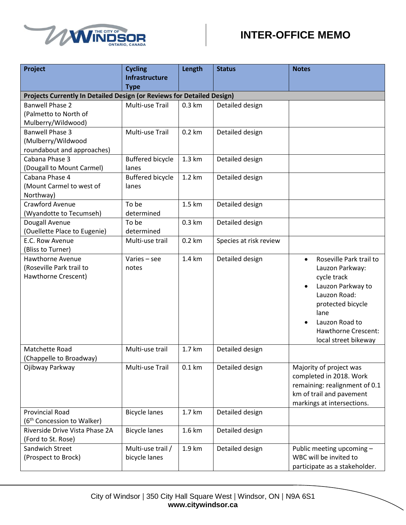



| Project                                                                | <b>Cycling</b><br><b>Infrastructure</b> | Length           | <b>Status</b>          | <b>Notes</b>                         |
|------------------------------------------------------------------------|-----------------------------------------|------------------|------------------------|--------------------------------------|
|                                                                        | <b>Type</b>                             |                  |                        |                                      |
| Projects Currently In Detailed Design (or Reviews for Detailed Design) |                                         |                  |                        |                                      |
| <b>Banwell Phase 2</b>                                                 | Multi-use Trail                         | $0.3 \text{ km}$ | Detailed design        |                                      |
| (Palmetto to North of                                                  |                                         |                  |                        |                                      |
| Mulberry/Wildwood)                                                     |                                         |                  |                        |                                      |
| <b>Banwell Phase 3</b>                                                 | Multi-use Trail                         | $0.2$ km         | Detailed design        |                                      |
| (Mulberry/Wildwood                                                     |                                         |                  |                        |                                      |
| roundabout and approaches)                                             |                                         |                  |                        |                                      |
| Cabana Phase 3                                                         | <b>Buffered bicycle</b>                 | 1.3 km           | Detailed design        |                                      |
| (Dougall to Mount Carmel)                                              | lanes                                   |                  |                        |                                      |
| Cabana Phase 4                                                         | <b>Buffered bicycle</b>                 | 1.2 km           | Detailed design        |                                      |
| (Mount Carmel to west of                                               | lanes                                   |                  |                        |                                      |
| Northway)                                                              |                                         |                  |                        |                                      |
| Crawford Avenue                                                        | To be<br>determined                     | 1.5 km           | Detailed design        |                                      |
| (Wyandotte to Tecumseh)                                                | To be                                   | $0.3 \text{ km}$ |                        |                                      |
| Dougall Avenue<br>(Ouellette Place to Eugenie)                         | determined                              |                  | Detailed design        |                                      |
| E.C. Row Avenue                                                        | Multi-use trail                         | 0.2 km           | Species at risk review |                                      |
| (Bliss to Turner)                                                      |                                         |                  |                        |                                      |
| Hawthorne Avenue                                                       | Varies - see                            | 1.4 km           | Detailed design        | Roseville Park trail to<br>$\bullet$ |
| (Roseville Park trail to                                               | notes                                   |                  |                        | Lauzon Parkway:                      |
| Hawthorne Crescent)                                                    |                                         |                  |                        | cycle track                          |
|                                                                        |                                         |                  |                        | Lauzon Parkway to<br>$\bullet$       |
|                                                                        |                                         |                  |                        | Lauzon Road:                         |
|                                                                        |                                         |                  |                        | protected bicycle                    |
|                                                                        |                                         |                  |                        | lane                                 |
|                                                                        |                                         |                  |                        | Lauzon Road to<br>$\bullet$          |
|                                                                        |                                         |                  |                        | <b>Hawthorne Crescent:</b>           |
|                                                                        |                                         |                  |                        | local street bikeway                 |
| Matchette Road                                                         | Multi-use trail                         | 1.7 km           | Detailed design        |                                      |
| (Chappelle to Broadway)                                                |                                         |                  |                        |                                      |
| Ojibway Parkway                                                        | Multi-use Trail                         | 0.1 km           | Detailed design        | Majority of project was              |
|                                                                        |                                         |                  |                        | completed in 2018. Work              |
|                                                                        |                                         |                  |                        | remaining: realignment of 0.1        |
|                                                                        |                                         |                  |                        | km of trail and pavement             |
|                                                                        |                                         |                  |                        | markings at intersections.           |
| <b>Provincial Road</b>                                                 | <b>Bicycle lanes</b>                    | 1.7 km           | Detailed design        |                                      |
| (6 <sup>th</sup> Concession to Walker)                                 |                                         |                  |                        |                                      |
| Riverside Drive Vista Phase 2A<br>(Ford to St. Rose)                   | <b>Bicycle lanes</b>                    | 1.6 km           | Detailed design        |                                      |
| Sandwich Street                                                        | Multi-use trail /                       | 1.9 km           | Detailed design        | Public meeting upcoming -            |
| (Prospect to Brock)                                                    | bicycle lanes                           |                  |                        | WBC will be invited to               |
|                                                                        |                                         |                  |                        | participate as a stakeholder.        |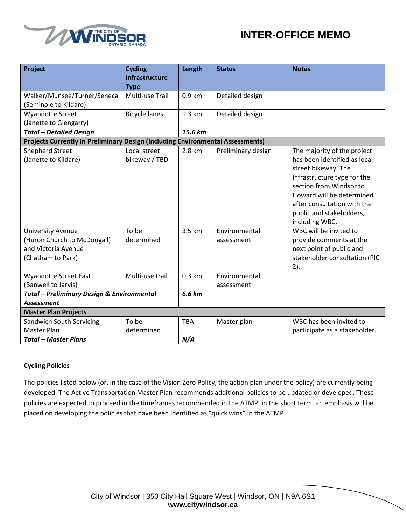

| Project                                                                                             | <b>Cycling</b><br><b>Infrastructure</b><br><b>Type</b> | Length           | <b>Status</b>               | <b>Notes</b>                                                                                                                                                                                                                                           |
|-----------------------------------------------------------------------------------------------------|--------------------------------------------------------|------------------|-----------------------------|--------------------------------------------------------------------------------------------------------------------------------------------------------------------------------------------------------------------------------------------------------|
| Walker/Munsee/Turner/Seneca<br>(Seminole to Kildare)                                                | Multi-use Trail                                        | 0.9 km           | Detailed design             |                                                                                                                                                                                                                                                        |
| <b>Wyandotte Street</b><br>(Janette to Glengarry)                                                   | <b>Bicycle lanes</b>                                   | $1.3 \text{ km}$ | Detailed design             |                                                                                                                                                                                                                                                        |
| <b>Total - Detailed Design</b>                                                                      |                                                        | 15.6 km          |                             |                                                                                                                                                                                                                                                        |
| Projects Currently In Preliminary Design (Including Environmental Assessments)                      |                                                        |                  |                             |                                                                                                                                                                                                                                                        |
| <b>Shepherd Street</b><br>(Janette to Kildare)                                                      | Local street<br>bikeway / TBD                          | 2.8 km           | Preliminary design          | The majority of the project<br>has been identified as local<br>street bikeway. The<br>infrastructure type for the<br>section from Windsor to<br>Howard will be determined<br>after consultation with the<br>public and stakeholders,<br>including WBC. |
| <b>University Avenue</b><br>(Huron Church to McDougall)<br>and Victoria Avenue<br>(Chatham to Park) | To be<br>determined                                    | 3.5 km           | Environmental<br>assessment | WBC will be invited to<br>provide comments at the<br>next point of public and<br>stakeholder consultation (PIC<br>2).                                                                                                                                  |
| <b>Wyandotte Street East</b><br>(Banwell to Jarvis)                                                 | Multi-use trail                                        | $0.3 \text{ km}$ | Environmental<br>assessment |                                                                                                                                                                                                                                                        |
| <b>Total - Preliminary Design &amp; Environmental</b>                                               |                                                        | 6.6 km           |                             |                                                                                                                                                                                                                                                        |
| <b>Assessment</b>                                                                                   |                                                        |                  |                             |                                                                                                                                                                                                                                                        |
| <b>Master Plan Projects</b>                                                                         |                                                        |                  |                             |                                                                                                                                                                                                                                                        |
| <b>Sandwich South Servicing</b><br>Master Plan                                                      | To be<br>determined                                    | <b>TBA</b>       | Master plan                 | WBC has been invited to<br>participate as a stakeholder.                                                                                                                                                                                               |
| <b>Total - Master Plans</b>                                                                         |                                                        | N/A              |                             |                                                                                                                                                                                                                                                        |

### **Cycling Policies**

The policies listed below (or, in the case of the Vision Zero Policy, the action plan under the policy) are currently being developed. The Active Transportation Master Plan recommends additional policies to be updated or developed. These policies are expected to proceed in the timeframes recommended in the ATMP; in the short term, an emphasis will be placed on developing the policies that have been identified as "quick wins" in the ATMP.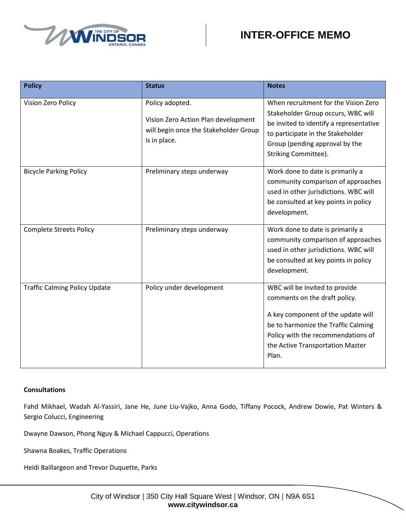

| <b>Policy</b>                        | <b>Status</b>                                                                                                   | <b>Notes</b>                                                                                                                                                                                                                    |
|--------------------------------------|-----------------------------------------------------------------------------------------------------------------|---------------------------------------------------------------------------------------------------------------------------------------------------------------------------------------------------------------------------------|
| Vision Zero Policy                   | Policy adopted.<br>Vision Zero Action Plan development<br>will begin once the Stakeholder Group<br>is in place. | When recruitment for the Vision Zero<br>Stakeholder Group occurs, WBC will<br>be invited to identify a representative<br>to participate in the Stakeholder<br>Group (pending approval by the<br>Striking Committee).            |
| <b>Bicycle Parking Policy</b>        | Preliminary steps underway                                                                                      | Work done to date is primarily a<br>community comparison of approaches<br>used in other jurisdictions. WBC will<br>be consulted at key points in policy<br>development.                                                         |
| <b>Complete Streets Policy</b>       | Preliminary steps underway                                                                                      | Work done to date is primarily a<br>community comparison of approaches<br>used in other jurisdictions. WBC will<br>be consulted at key points in policy<br>development.                                                         |
| <b>Traffic Calming Policy Update</b> | Policy under development                                                                                        | WBC will be invited to provide<br>comments on the draft policy.<br>A key component of the update will<br>be to harmonize the Traffic Calming<br>Policy with the recommendations of<br>the Active Transportation Master<br>Plan. |

#### **Consultations**

Fahd Mikhael, Wadah Al-Yassiri, Jane He, June Liu-Vajko, Anna Godo, Tiffany Pocock, Andrew Dowie, Pat Winters & Sergio Colucci, Engineering

Dwayne Dawson, Phong Nguy & Michael Cappucci, Operations

Shawna Boakes, Traffic Operations

Heidi Baillargeon and Trevor Duquette, Parks